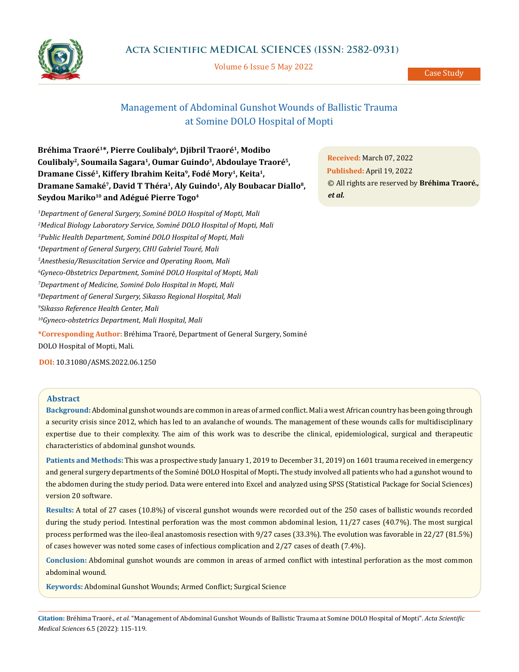

Volume 6 Issue 5 May 2022

Case Study

# Management of Abdominal Gunshot Wounds of Ballistic Trauma at Somine DOLO Hospital of Mopti

**Bréhima Traoré1\*, Pierre Coulibaly6, Djibril Traoré1, Modibo Coulibaly2, Soumaila Sagara1, Oumar Guindo3, Abdoulaye Traoré5, Dramane Cissé1, Kiffery Ibrahim Keita9, Fodé Mory1, Keita1,** Dramane Samaké<sup>7</sup>, David T Théra<sup>1</sup>, Aly Guindo<sup>1</sup>, Aly Boubacar Diallo<sup>8</sup>, **Seydou Mariko10 and Adégué Pierre Togo4**

 *Department of General Surgery, Sominé DOLO Hospital of Mopti, Mali Medical Biology Laboratory Service, Sominé DOLO Hospital of Mopti, Mali Public Health Department, Sominé DOLO Hospital of Mopti, Mali Department of General Surgery, CHU Gabriel Touré, Mali Anesthesia/Resuscitation Service and Operating Room, Mali Gyneco-Obstetrics Department, Sominé DOLO Hospital of Mopti, Mali Department of Medicine, Sominé Dolo Hospital in Mopti, Mali Department of General Surgery, Sikasso Regional Hospital, Mali Sikasso Reference Health Center, Mali 10Gyneco-obstetrics Department, Mali Hospital, Mali* **\*Corresponding Author:** Bréhima Traoré, Department of General Surgery, Sominé DOLO Hospital of Mopti, Mali.

**DOI:** [10.31080/ASMS.2022.06.1250](http:// actascientific.com/ASMS/pdf/ASMS-06-1250.pdf)

# **Abstract**

**Background:** Abdominal gunshot wounds are common in areas of armed conflict. Mali a west African country has been going through a security crisis since 2012, which has led to an avalanche of wounds. The management of these wounds calls for multidisciplinary expertise due to their complexity. The aim of this work was to describe the clinical, epidemiological, surgical and therapeutic characteristics of abdominal gunshot wounds.

**Patients and Methods:** This was a prospective study January 1, 2019 to December 31, 2019) on 1601 trauma received in emergency and general surgery departments of the Sominé DOLO Hospital of Mopti**.** The study involved all patients who had a gunshot wound to the abdomen during the study period. Data were entered into Excel and analyzed using SPSS (Statistical Package for Social Sciences) version 20 software.

**Results:** A total of 27 cases (10.8%) of visceral gunshot wounds were recorded out of the 250 cases of ballistic wounds recorded during the study period. Intestinal perforation was the most common abdominal lesion, 11/27 cases (40.7%). The most surgical process performed was the ileo-ileal anastomosis resection with 9/27 cases (33.3%). The evolution was favorable in 22/27 (81.5%) of cases however was noted some cases of infectious complication and 2/27 cases of death (7.4%).

**Conclusion:** Abdominal gunshot wounds are common in areas of armed conflict with intestinal perforation as the most common abdominal wound.

**Keywords:** Abdominal Gunshot Wounds; Armed Conflict; Surgical Science

**Citation:** Bréhima Traoré*., et al.* "Management of Abdominal Gunshot Wounds of Ballistic Trauma at Somine DOLO Hospital of Mopti". *Acta Scientific Medical Sciences* 6.5 (2022): 115-119.

**Received:** March 07, 2022 **Published:** April 19, 2022 © All rights are reserved by **Bréhima Traoré***., et al.*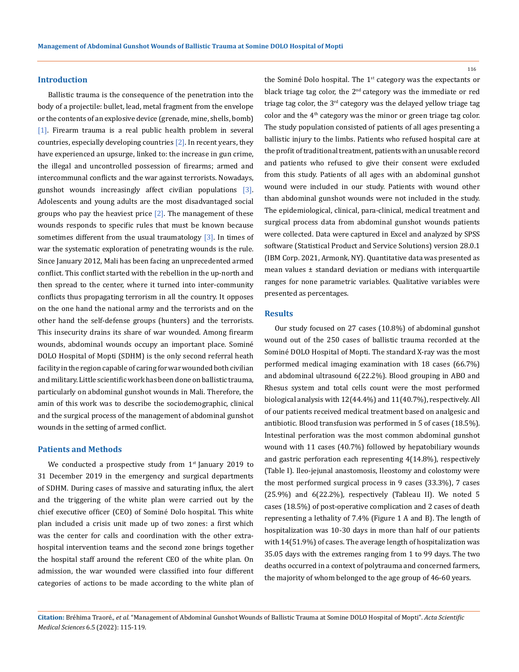## **Introduction**

Ballistic trauma is the consequence of the penetration into the body of a projectile: bullet, lead, metal fragment from the envelope or the contents of an explosive device (grenade, mine, shells, bomb) [1]. Firearm trauma is a real public health problem in several countries, especially developing countries  $[2]$ . In recent years, they have experienced an upsurge, linked to: the increase in gun crime, the illegal and uncontrolled possession of firearms; armed and intercommunal conflicts and the war against terrorists. Nowadays, gunshot wounds increasingly affect civilian populations  $[3]$ . Adolescents and young adults are the most disadvantaged social groups who pay the heaviest price  $[2]$ . The management of these wounds responds to specific rules that must be known because sometimes different from the usual traumatology  $[3]$ . In times of war the systematic exploration of penetrating wounds is the rule. Since January 2012, Mali has been facing an unprecedented armed conflict. This conflict started with the rebellion in the up-north and then spread to the center, where it turned into inter-community conflicts thus propagating terrorism in all the country. It opposes on the one hand the national army and the terrorists and on the other hand the self-defense groups (hunters) and the terrorists. This insecurity drains its share of war wounded. Among firearm wounds, abdominal wounds occupy an important place. Sominé DOLO Hospital of Mopti (SDHM) is the only second referral heath facility in the region capable of caring for war wounded both civilian and military. Little scientific work has been done on ballistic trauma, particularly on abdominal gunshot wounds in Mali. Therefore, the amin of this work was to describe the sociodemographic, clinical and the surgical process of the management of abdominal gunshot wounds in the setting of armed conflict.

#### **Patients and Methods**

We conducted a prospective study from  $1<sup>st</sup>$  January 2019 to 31 December 2019 in the emergency and surgical departments of SDHM. During cases of massive and saturating influx, the alert and the triggering of the white plan were carried out by the chief executive officer (CEO) of Sominé Dolo hospital. This white plan included a crisis unit made up of two zones: a first which was the center for calls and coordination with the other extrahospital intervention teams and the second zone brings together the hospital staff around the referent CEO of the white plan. On admission, the war wounded were classified into four different categories of actions to be made according to the white plan of the Sominé Dolo hospital. The  $1<sup>st</sup>$  category was the expectants or black triage tag color, the  $2<sup>nd</sup>$  category was the immediate or red triage tag color, the  $3<sup>rd</sup>$  category was the delayed yellow triage tag color and the  $4<sup>th</sup>$  category was the minor or green triage tag color. The study population consisted of patients of all ages presenting a ballistic injury to the limbs. Patients who refused hospital care at the profit of traditional treatment, patients with an unusable record and patients who refused to give their consent were excluded from this study. Patients of all ages with an abdominal gunshot wound were included in our study. Patients with wound other than abdominal gunshot wounds were not included in the study. The epidemiological, clinical, para-clinical, medical treatment and surgical process data from abdominal gunshot wounds patients were collected. Data were captured in Excel and analyzed by SPSS software (Statistical Product and Service Solutions) version 28.0.1 (IBM Corp. 2021, Armonk, NY). Quantitative data was presented as mean values ± standard deviation or medians with interquartile ranges for none parametric variables. Qualitative variables were presented as percentages.

## **Results**

Our study focused on 27 cases (10.8%) of abdominal gunshot wound out of the 250 cases of ballistic trauma recorded at the Sominé DOLO Hospital of Mopti. The standard X-ray was the most performed medical imaging examination with 18 cases (66.7%) and abdominal ultrasound 6(22.2%). Blood grouping in ABO and Rhesus system and total cells count were the most performed biological analysis with 12(44.4%) and 11(40.7%), respectively. All of our patients received medical treatment based on analgesic and antibiotic. Blood transfusion was performed in 5 of cases (18.5%). Intestinal perforation was the most common abdominal gunshot wound with 11 cases (40.7%) followed by hepatobiliary wounds and gastric perforation each representing 4(14.8%), respectively (Table I). Ileo-jejunal anastomosis, Ileostomy and colostomy were the most performed surgical process in 9 cases (33.3%), 7 cases (25.9%) and 6(22.2%), respectively (Tableau II). We noted 5 cases (18.5%) of post-operative complication and 2 cases of death representing a lethality of 7.4% (Figure 1 A and B). The length of hospitalization was 10-30 days in more than half of our patients with 14(51.9%) of cases. The average length of hospitalization was 35.05 days with the extremes ranging from 1 to 99 days. The two deaths occurred in a context of polytrauma and concerned farmers, the majority of whom belonged to the age group of 46-60 years.

116

**Citation:** Bréhima Traoré*., et al.* "Management of Abdominal Gunshot Wounds of Ballistic Trauma at Somine DOLO Hospital of Mopti". *Acta Scientific Medical Sciences* 6.5 (2022): 115-119.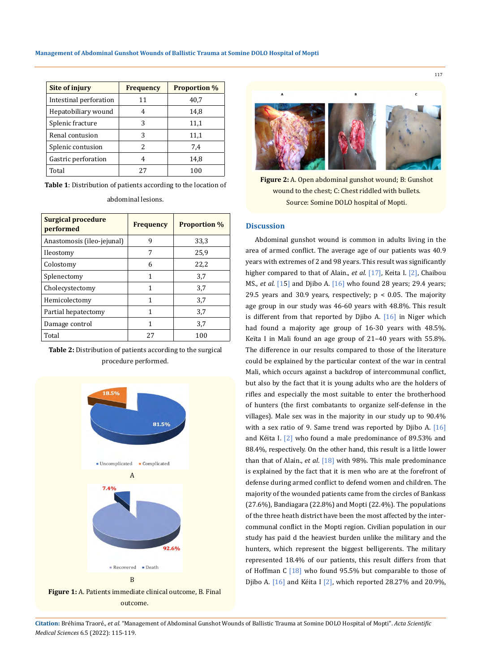| <b>Site of injury</b>  | <b>Frequency</b> | <b>Proportion %</b> |
|------------------------|------------------|---------------------|
| Intestinal perforation | 11               | 40,7                |
| Hepatobiliary wound    | 4                | 14,8                |
| Splenic fracture       | 3                | 11,1                |
| Renal contusion        | 3                | 11,1                |
| Splenic contusion      | 2                | 7.4                 |
| Gastric perforation    | 4                | 14,8                |
| Total                  | 27               | 100                 |

**Table 1**: Distribution of patients according to the location of

| Surgical procedure<br>performed | <b>Frequency</b> | <b>Proportion %</b> |
|---------------------------------|------------------|---------------------|
| Anastomosis (ileo-jejunal)      | 9                | 33,3                |
| Ileostomy                       | 7                | 25,9                |
| Colostomy                       | 6                | 22,2                |
| Splenectomy                     | 1                | 3,7                 |
| Cholecystectomy                 | 1                | 3,7                 |
| Hemicolectomy                   | 1                | 3,7                 |
| Partial hepatectomy             | 1                | 3,7                 |
| Damage control                  | 1                | 3,7                 |
| Total                           | 27               | 100                 |

abdominal lesions.

**Table 2:** Distribution of patients according to the surgical procedure performed.



outcome.



**Figure 2:** A. Open abdominal gunshot wound; B: Gunshot wound to the chest; C: Chest riddled with bullets. Source: Somine DOLO hospital of Mopti.

#### **Discussion**

Abdominal gunshot wound is common in adults living in the area of armed conflict. The average age of our patients was 40.9 years with extremes of 2 and 98 years. This result was significantly higher compared to that of Alain., *et al*. [17], Keita I. [2], Chaibou MS., *et al*. [15] and Djibo A. [16] who found 28 years; 29.4 years; 29.5 years and 30.9 years, respectively;  $p < 0.05$ . The majority age group in our study was 46-60 years with 48.8%. This result is different from that reported by Djibo A. [16] in Niger which had found a majority age group of 16-30 years with 48.5%. Keïta I in Mali found an age group of 21–40 years with 55.8%. The difference in our results compared to those of the literature could be explained by the particular context of the war in central Mali, which occurs against a backdrop of intercommunal conflict, but also by the fact that it is young adults who are the holders of rifles and especially the most suitable to enter the brotherhood of hunters (the first combatants to organize self-defense in the villages). Male sex was in the majority in our study up to 90.4% with a sex ratio of 9. Same trend was reported by Diibo A.  $[16]$ and Kéita I. [2] who found a male predominance of 89.53% and 88.4%, respectively. On the other hand, this result is a little lower than that of Alain., *et al*. [18] with 98%. This male predominance is explained by the fact that it is men who are at the forefront of defense during armed conflict to defend women and children. The majority of the wounded patients came from the circles of Bankass (27.6%), Bandiagara (22.8%) and Mopti (22.4%). The populations of the three heath district have been the most affected by the intercommunal conflict in the Mopti region. Civilian population in our study has paid d the heaviest burden unlike the military and the hunters, which represent the biggest belligerents. The military represented 18.4% of our patients, this result differs from that of Hoffman C [18] who found 95.5% but comparable to those of Djibo A. [16] and Kéita I [2], which reported 28.27% and 20.9%,

**Citation:** Bréhima Traoré*., et al.* "Management of Abdominal Gunshot Wounds of Ballistic Trauma at Somine DOLO Hospital of Mopti". *Acta Scientific Medical Sciences* 6.5 (2022): 115-119.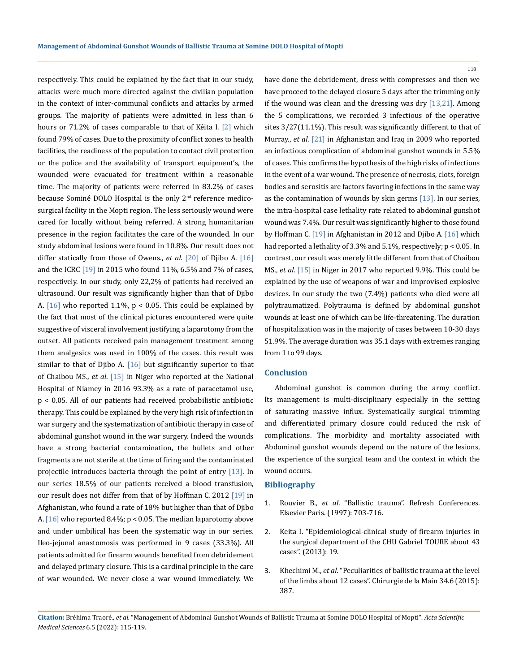respectively. This could be explained by the fact that in our study, attacks were much more directed against the civilian population in the context of inter-communal conflicts and attacks by armed groups. The majority of patients were admitted in less than 6 hours or 71.2% of cases comparable to that of Kéita I. [2] which found 79% of cases. Due to the proximity of conflict zones to health facilities, the readiness of the population to contact civil protection or the police and the availability of transport equipment's, the wounded were evacuated for treatment within a reasonable time. The majority of patients were referred in 83.2% of cases because Sominé DOLO Hospital is the only 2<sup>nd</sup> reference medicosurgical facility in the Mopti region. The less seriously wound were cared for locally without being referred. A strong humanitarian presence in the region facilitates the care of the wounded. In our study abdominal lesions were found in 10.8%. Our result does not differ statically from those of Owens., *et al*. [20] of Djibo A. [16] and the ICRC  $[19]$  in 2015 who found 11%, 6.5% and 7% of cases, respectively. In our study, only 22,2% of patients had received an ultrasound. Our result was significantly higher than that of Djibo A.  $[16]$  who reported 1.1%,  $p < 0.05$ . This could be explained by the fact that most of the clinical pictures encountered were quite suggestive of visceral involvement justifying a laparotomy from the outset. All patients received pain management treatment among them analgesics was used in 100% of the cases. this result was similar to that of Djibo A.  $[16]$  but significantly superior to that of Chaibou MS., *et al*. [15] in Niger who reported at the National Hospital of Niamey in 2016 93.3% as a rate of paracetamol use, p < 0.05. All of our patients had received probabilistic antibiotic therapy. This could be explained by the very high risk of infection in war surgery and the systematization of antibiotic therapy in case of abdominal gunshot wound in the war surgery. Indeed the wounds have a strong bacterial contamination, the bullets and other fragments are not sterile at the time of firing and the contaminated projectile introduces bacteria through the point of entry  $[13]$ . In our series 18.5% of our patients received a blood transfusion, our result does not differ from that of by Hoffman C. 2012 [19] in Afghanistan, who found a rate of 18% but higher than that of Djibo A. [16] who reported 8.4%; p < 0.05. The median laparotomy above and under umbilical has been the systematic way in our series. Ileo-jejunal anastomosis was performed in 9 cases (33.3%). All patients admitted for firearm wounds benefited from debridement and delayed primary closure. This is a cardinal principle in the care of war wounded. We never close a war wound immediately. We

have done the debridement, dress with compresses and then we have proceed to the delayed closure 5 days after the trimming only if the wound was clean and the dressing was dry  $[13,21]$ . Among the 5 complications, we recorded 3 infectious of the operative sites 3/27(11.1%). This result was significantly different to that of Murray., *et al*. [21] in Afghanistan and Iraq in 2009 who reported an infectious complication of abdominal gunshot wounds in 5.5% of cases. This confirms the hypothesis of the high risks of infections in the event of a war wound. The presence of necrosis, clots, foreign bodies and serositis are factors favoring infections in the same way as the contamination of wounds by skin germs [13]. In our series, the intra-hospital case lethality rate related to abdominal gunshot wound was 7.4%. Our result was significantly higher to those found by Hoffman C. [19] in Afghanistan in 2012 and Djibo A. [16] which had reported a lethality of 3.3% and 5.1%, respectively; p < 0.05. In contrast, our result was merely little different from that of Chaibou MS., *et al*. [15] in Niger in 2017 who reported 9.9%. This could be explained by the use of weapons of war and improvised explosive devices. In our study the two (7.4%) patients who died were all polytraumatized. Polytrauma is defined by abdominal gunshot wounds at least one of which can be life-threatening. The duration of hospitalization was in the majority of cases between 10-30 days 51.9%. The average duration was 35.1 days with extremes ranging from 1 to 99 days.

#### **Conclusion**

Abdominal gunshot is common during the army conflict. Its management is multi-disciplinary especially in the setting of saturating massive influx. Systematically surgical trimming and differentiated primary closure could reduced the risk of complications. The morbidity and mortality associated with Abdominal gunshot wounds depend on the nature of the lesions, the experience of the surgical team and the context in which the wound occurs.

# **Bibliography**

- 1. Rouvier B., *et al*. "Ballistic trauma". Refresh Conferences. Elsevier Paris. (1997): 703-716.
- 2. Keita I. "Epidemiological-clinical study of firearm injuries in the surgical department of the CHU Gabriel TOURE about 43 cases". (2013): 19.
- 3. Khechimi M., *et al*. "Peculiarities of ballistic trauma at the level of the limbs about 12 cases". Chirurgie de la Main 34.6 (2015): 387.



118